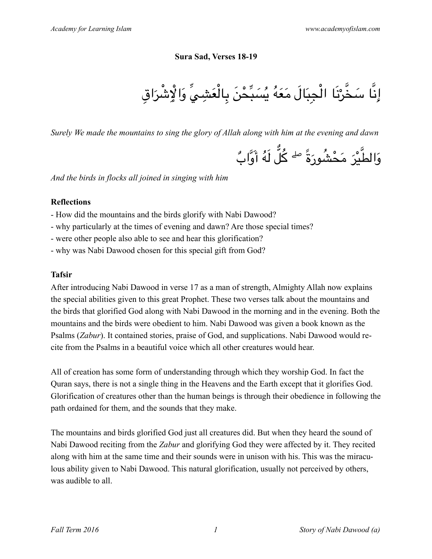#### **Sura Sad, Verses 18-19**

$$
\text{I}_2\text{I}_2\text{I}_3\text{I}_4\text{I}_5\text{I}_5\text{I}_6\text{I}_7\text{I}_7\text{I}_7\text{I}_7\text{I}_7\text{I}_7\text{I}_7\text{I}_7\text{I}_7\text{I}_7\text{I}_7\text{I}_7\text{I}_7\text{I}_7\text{I}_7\text{I}_7\text{I}_7\text{I}_7\text{I}_7\text{I}_7\text{I}_7\text{I}_7\text{I}_7\text{I}_7\text{I}_7\text{I}_7\text{I}_7\text{I}_7\text{I}_7\text{I}_7\text{I}_7\text{I}_7\text{I}_7\text{I}_7\text{I}_7\text{I}_7\text{I}_7\text{I}_7\text{I}_7\text{I}_7\text{I}_7\text{I}_7\text{I}_7\text{I}_7\text{I}_7\text{I}_7\text{I}_7\text{I}_7\text{I}_7\text{I}_7\text{I}_7\text{I}_7\text{I}_7\text{I}_7\text{I}_7\text{I}_7\text{I}_7\text{I}_7\text{I}_7\text{I}_7\text{I}_7\text{I}_7\text{I}_7\text{I}_7\text{I}_7\text{I}_7\text{I}_7\text{I}_7\text{I}_7\text{I}_7\text{I}_7\text{I}_7\text{I}_7\text{I}_7\text{I}_7\text{I}_7\text{I}_7\text{I}_7\text{I}_7\text{I}_7\text{I}_7\text{I}_7\text{I}_7\text{I}_7\text{I}_7\text{I}_7\text{I}_7\text{I}_7\text{I}_7\text{I}_7\text{I}_7\text{I}_7\text{I}_7\text{I}_7\text{I}_7\text{I}_7\text{I}_7\text{I}_7\text{I}_7\text{I}_7\text{I}_7\text{I}_7\text{I}_7\text{I}_7\text{I}_7\text{I}_7\text{I}_7\text{I}_7\text{I}_7\text{I}_7\text{I}_7\text{I}_7\text{I}_7\text{I}_7\text{I}_7\text{I}_7\text{I}_7\text{I}_7\text{I}_7\text{I
$$

*Surely We made the mountains to sing the glory of Allah along with him at the evening and dawn*

ب وا ٌ ََ ه أ ل َلُ ٌ ك ُ ۖ ً َة شور ُ َ َم ْح ْر ي َ َوالط

*And the birds in flocks all joined in singing with him*

#### **Reflections**

- How did the mountains and the birds glorify with Nabi Dawood?
- why particularly at the times of evening and dawn? Are those special times?
- were other people also able to see and hear this glorification?
- why was Nabi Dawood chosen for this special gift from God?

# **Tafsir**

After introducing Nabi Dawood in verse 17 as a man of strength, Almighty Allah now explains the special abilities given to this great Prophet. These two verses talk about the mountains and the birds that glorified God along with Nabi Dawood in the morning and in the evening. Both the mountains and the birds were obedient to him. Nabi Dawood was given a book known as the Psalms (*Zabur*). It contained stories, praise of God, and supplications. Nabi Dawood would recite from the Psalms in a beautiful voice which all other creatures would hear.

All of creation has some form of understanding through which they worship God. In fact the Quran says, there is not a single thing in the Heavens and the Earth except that it glorifies God. Glorification of creatures other than the human beings is through their obedience in following the path ordained for them, and the sounds that they make.

The mountains and birds glorified God just all creatures did. But when they heard the sound of Nabi Dawood reciting from the *Zabur* and glorifying God they were affected by it. They recited along with him at the same time and their sounds were in unison with his. This was the miraculous ability given to Nabi Dawood. This natural glorification, usually not perceived by others, was audible to all.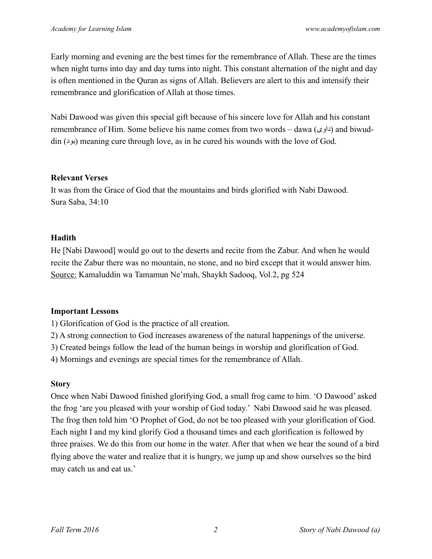Early morning and evening are the best times for the remembrance of Allah. These are the times when night turns into day and day turns into night. This constant alternation of the night and day is often mentioned in the Quran as signs of Allah. Believers are alert to this and intensify their remembrance and glorification of Allah at those times.

Nabi Dawood was given this special gift because of his sincere love for Allah and his constant remembrance of Him. Some believe his name comes from two words – dawa (داوى) and biwud- $\sin (\theta)$  (بود) meaning cure through love, as in he cured his wounds with the love of God.

#### **Relevant Verses**

It was from the Grace of God that the mountains and birds glorified with Nabi Dawood. Sura Saba, 34:10

## **Hadith**

He [Nabi Dawood] would go out to the deserts and recite from the Zabur. And when he would recite the Zabur there was no mountain, no stone, and no bird except that it would answer him. Source: Kamaluddin wa Tamamun Ne'mah, Shaykh Sadooq, Vol.2, pg 524

# **Important Lessons**

1) Glorification of God is the practice of all creation.

- 2) A strong connection to God increases awareness of the natural happenings of the universe.
- 3) Created beings follow the lead of the human beings in worship and glorification of God.

4) Mornings and evenings are special times for the remembrance of Allah.

# **Story**

Once when Nabi Dawood finished glorifying God, a small frog came to him. 'O Dawood' asked the frog 'are you pleased with your worship of God today.' Nabi Dawood said he was pleased. The frog then told him 'O Prophet of God, do not be too pleased with your glorification of God. Each night I and my kind glorify God a thousand times and each glorification is followed by three praises. We do this from our home in the water. After that when we hear the sound of a bird flying above the water and realize that it is hungry, we jump up and show ourselves so the bird may catch us and eat us.'